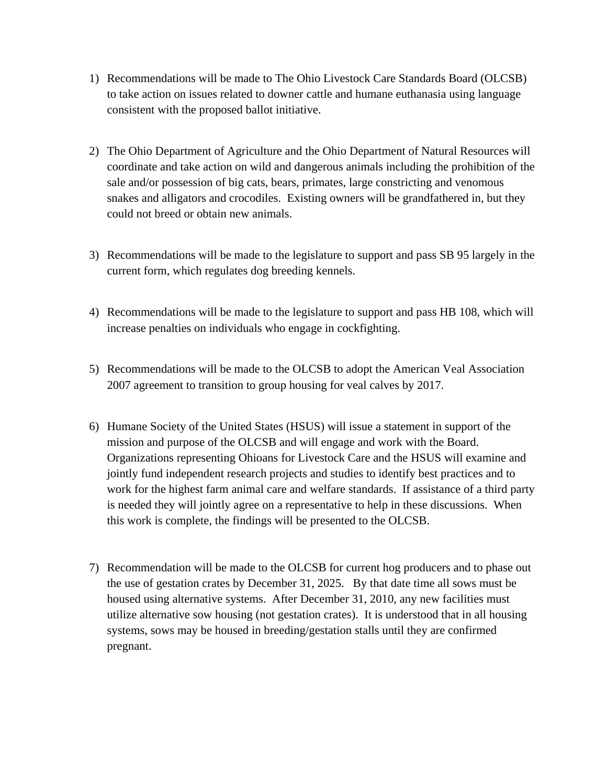- 1) Recommendations will be made to The Ohio Livestock Care Standards Board (OLCSB) to take action on issues related to downer cattle and humane euthanasia using language consistent with the proposed ballot initiative.
- 2) The Ohio Department of Agriculture and the Ohio Department of Natural Resources will coordinate and take action on wild and dangerous animals including the prohibition of the sale and/or possession of big cats, bears, primates, large constricting and venomous snakes and alligators and crocodiles. Existing owners will be grandfathered in, but they could not breed or obtain new animals.
- 3) Recommendations will be made to the legislature to support and pass SB 95 largely in the current form, which regulates dog breeding kennels.
- 4) Recommendations will be made to the legislature to support and pass HB 108, which will increase penalties on individuals who engage in cockfighting.
- 5) Recommendations will be made to the OLCSB to adopt the American Veal Association 2007 agreement to transition to group housing for veal calves by 2017.
- 6) Humane Society of the United States (HSUS) will issue a statement in support of the mission and purpose of the OLCSB and will engage and work with the Board. Organizations representing Ohioans for Livestock Care and the HSUS will examine and jointly fund independent research projects and studies to identify best practices and to work for the highest farm animal care and welfare standards. If assistance of a third party is needed they will jointly agree on a representative to help in these discussions. When this work is complete, the findings will be presented to the OLCSB.
- 7) Recommendation will be made to the OLCSB for current hog producers and to phase out the use of gestation crates by December 31, 2025. By that date time all sows must be housed using alternative systems. After December 31, 2010, any new facilities must utilize alternative sow housing (not gestation crates). It is understood that in all housing systems, sows may be housed in breeding/gestation stalls until they are confirmed pregnant.